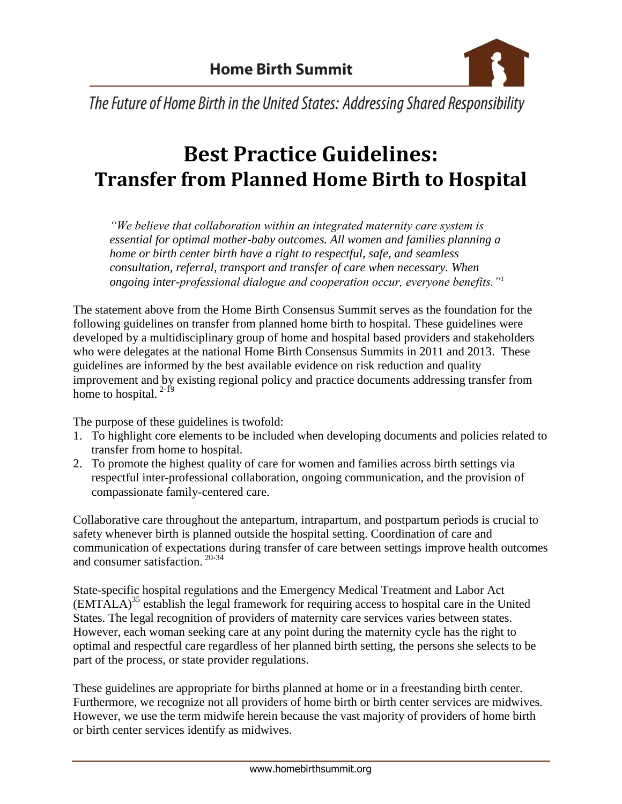

The Future of Home Birth in the United States: Addressing Shared Responsibility

# **Best Practice Guidelines: Transfer from Planned Home Birth to Hospital**

*"We believe that collaboration within an integrated maternity care system is essential for optimal mother-baby outcomes. All women and families planning a home or birth center birth have a right to respectful, safe, and seamless consultation, referral, transport and transfer of care when necessary. When ongoing inter-professional dialogue and cooperation occur, everyone benefits."<sup>1</sup>* 

The statement above from the Home Birth Consensus Summit serves as the foundation for the following guidelines on transfer from planned home birth to hospital. These guidelines were developed by a multidisciplinary group of home and hospital based providers and stakeholders who were delegates at the national Home Birth Consensus Summits in 2011 and 2013. These guidelines are informed by the best available evidence on risk reduction and quality improvement and by existing regional policy and practice documents addressing transfer from home to hospital.  $2-19$ 

The purpose of these guidelines is twofold:

- 1. To highlight core elements to be included when developing documents and policies related to transfer from home to hospital.
- 2. To promote the highest quality of care for women and families across birth settings via respectful inter-professional collaboration, ongoing communication, and the provision of compassionate family-centered care.

Collaborative care throughout the antepartum, intrapartum, and postpartum periods is crucial to safety whenever birth is planned outside the hospital setting. Coordination of care and communication of expectations during transfer of care between settings improve health outcomes and consumer satisfaction. 20-34

State-specific hospital regulations and the Emergency Medical Treatment and Labor Act (EMTALA)<sup>35</sup> establish the legal framework for requiring access to hospital care in the United States. The legal recognition of providers of maternity care services varies between states. However, each woman seeking care at any point during the maternity cycle has the right to optimal and respectful care regardless of her planned birth setting, the persons she selects to be part of the process, or state provider regulations.

These guidelines are appropriate for births planned at home or in a freestanding birth center. Furthermore, we recognize not all providers of home birth or birth center services are midwives. However, we use the term midwife herein because the vast majority of providers of home birth or birth center services identify as midwives.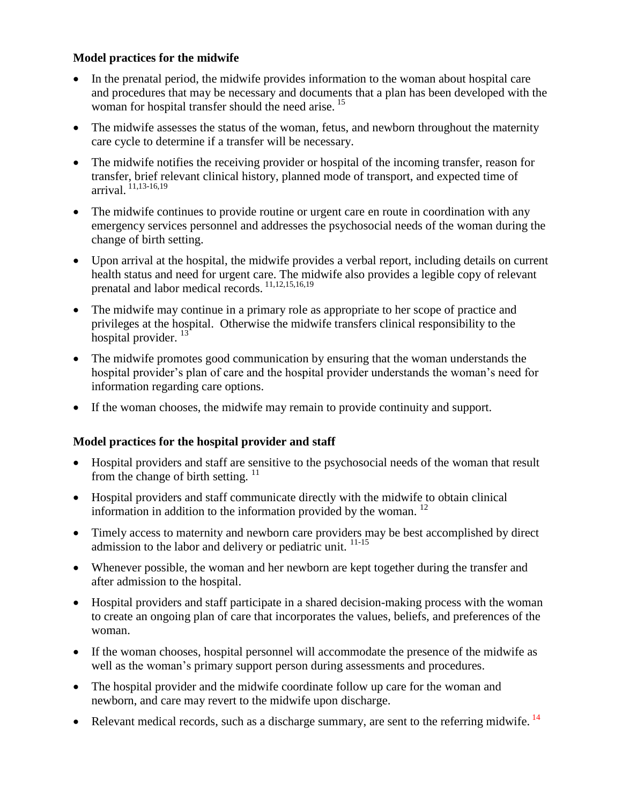### **Model practices for the midwife**

- In the prenatal period, the midwife provides information to the woman about hospital care and procedures that may be necessary and documents that a plan has been developed with the woman for hospital transfer should the need arise.<sup>15</sup>
- The midwife assesses the status of the woman, fetus, and newborn throughout the maternity care cycle to determine if a transfer will be necessary.
- The midwife notifies the receiving provider or hospital of the incoming transfer, reason for transfer, brief relevant clinical history, planned mode of transport, and expected time of arrival. 11,13-16,19
- The midwife continues to provide routine or urgent care en route in coordination with any emergency services personnel and addresses the psychosocial needs of the woman during the change of birth setting.
- Upon arrival at the hospital, the midwife provides a verbal report, including details on current health status and need for urgent care. The midwife also provides a legible copy of relevant prenatal and labor medical records. 11,12,15,16,19
- The midwife may continue in a primary role as appropriate to her scope of practice and privileges at the hospital. Otherwise the midwife transfers clinical responsibility to the hospital provider.<sup>13</sup>
- The midwife promotes good communication by ensuring that the woman understands the hospital provider's plan of care and the hospital provider understands the woman's need for information regarding care options.
- If the woman chooses, the midwife may remain to provide continuity and support.

# **Model practices for the hospital provider and staff**

- Hospital providers and staff are sensitive to the psychosocial needs of the woman that result from the change of birth setting.  $11$
- Hospital providers and staff communicate directly with the midwife to obtain clinical information in addition to the information provided by the woman. 12
- Timely access to maternity and newborn care providers may be best accomplished by direct admission to the labor and delivery or pediatric unit.  $11-15$
- Whenever possible, the woman and her newborn are kept together during the transfer and after admission to the hospital.
- Hospital providers and staff participate in a shared decision-making process with the woman to create an ongoing plan of care that incorporates the values, beliefs, and preferences of the woman.
- If the woman chooses, hospital personnel will accommodate the presence of the midwife as well as the woman's primary support person during assessments and procedures.
- The hospital provider and the midwife coordinate follow up care for the woman and newborn, and care may revert to the midwife upon discharge.
- Relevant medical records, such as a discharge summary, are sent to the referring midwife.  $14$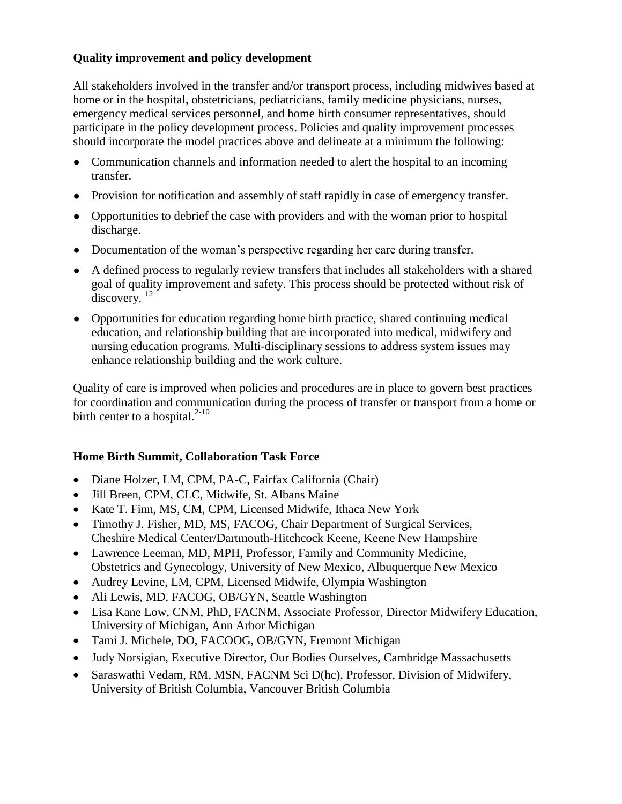# **Quality improvement and policy development**

All stakeholders involved in the transfer and/or transport process, including midwives based at home or in the hospital, obstetricians, pediatricians, family medicine physicians, nurses, emergency medical services personnel, and home birth consumer representatives, should participate in the policy development process. Policies and quality improvement processes should incorporate the model practices above and delineate at a minimum the following:

- Communication channels and information needed to alert the hospital to an incoming transfer.
- Provision for notification and assembly of staff rapidly in case of emergency transfer.
- Opportunities to debrief the case with providers and with the woman prior to hospital discharge.
- Documentation of the woman's perspective regarding her care during transfer.
- A defined process to regularly review transfers that includes all stakeholders with a shared goal of quality improvement and safety. This process should be protected without risk of discovery.<sup>12</sup>
- Opportunities for education regarding home birth practice, shared continuing medical education, and relationship building that are incorporated into medical, midwifery and nursing education programs. Multi-disciplinary sessions to address system issues may enhance relationship building and the work culture.

Quality of care is improved when policies and procedures are in place to govern best practices for coordination and communication during the process of transfer or transport from a home or birth center to a hospital. $2-10$ 

# **Home Birth Summit, Collaboration Task Force**

- Diane Holzer, LM, CPM, PA-C, Fairfax California (Chair)
- Jill Breen, CPM, CLC, Midwife, St. Albans Maine
- Kate T. Finn, MS, CM, CPM, Licensed Midwife, Ithaca New York
- Timothy J. Fisher, MD, MS, FACOG, Chair Department of Surgical Services, Cheshire Medical Center/Dartmouth-Hitchcock Keene, Keene New Hampshire
- Lawrence Leeman, MD, MPH, Professor, Family and Community Medicine, Obstetrics and Gynecology, University of New Mexico, Albuquerque New Mexico
- Audrey Levine, LM, CPM, Licensed Midwife, Olympia Washington
- Ali Lewis, MD, FACOG, OB/GYN, Seattle Washington
- Lisa Kane Low, CNM, PhD, FACNM, Associate Professor, Director Midwifery Education, University of Michigan, Ann Arbor Michigan
- Tami J. Michele, DO, FACOOG, OB/GYN, Fremont Michigan
- Judy Norsigian, Executive Director, Our Bodies Ourselves, Cambridge Massachusetts
- Saraswathi Vedam, RM, MSN, FACNM Sci D(hc), Professor, Division of Midwifery, University of British Columbia, Vancouver British Columbia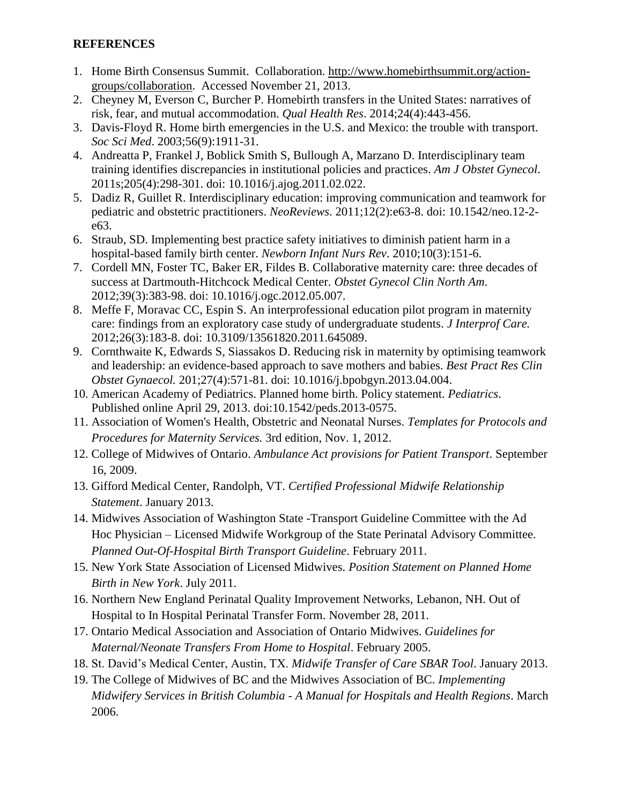### **REFERENCES**

- 1. Home Birth Consensus Summit. Collaboration. [http://www.homebirthsummit.org/action](http://www.homebirthsummit.org/action-groups/collaboration)[groups/collaboration.](http://www.homebirthsummit.org/action-groups/collaboration) Accessed November 21, 2013.
- 2. Cheyney M, Everson C, Burcher P. Homebirth transfers in the United States: narratives of risk, fear, and mutual accommodation. *Qual Health Res*. 2014;24(4):443-456.
- 3. Davis-Floyd R. Home birth emergencies in the U.S. and Mexico: the trouble with transport. *Soc Sci Med*. 2003;56(9):1911-31.
- 4. Andreatta P, Frankel J, Boblick Smith S, Bullough A, Marzano D. Interdisciplinary team training identifies discrepancies in institutional policies and practices. *Am J Obstet Gynecol*. 2011s;205(4):298-301. doi: 10.1016/j.ajog.2011.02.022.
- 5. Dadiz R, Guillet R. Interdisciplinary education: improving communication and teamwork for pediatric and obstetric practitioners. *NeoReviews*. 2011;12(2):e63-8. doi: 10.1542/neo.12-2 e63.
- 6. Straub, SD. Implementing best practice safety initiatives to diminish patient harm in a hospital-based family birth center. *Newborn Infant Nurs Rev*. 2010;10(3):151-6.
- 7. Cordell MN, Foster TC, Baker ER, Fildes B. Collaborative maternity care: three decades of success at Dartmouth-Hitchcock Medical Center. *Obstet Gynecol Clin North Am*. 2012;39(3):383-98. doi: 10.1016/j.ogc.2012.05.007.
- 8. Meffe F, Moravac CC, Espin S. An interprofessional education pilot program in maternity care: findings from an exploratory case study of undergraduate students. *J Interprof Care.*  2012;26(3):183-8. doi: 10.3109/13561820.2011.645089.
- 9. Cornthwaite K, Edwards S, Siassakos D. Reducing risk in maternity by optimising teamwork and leadership: an evidence-based approach to save mothers and babies. *Best Pract Res Clin Obstet Gynaecol.* 201;27(4):571-81. doi: 10.1016/j.bpobgyn.2013.04.004.
- 10. American Academy of Pediatrics. Planned home birth. Policy statement. *Pediatrics*. Published online April 29, 2013. doi:10.1542/peds.2013-0575.
- 11. Association of Women's Health, Obstetric and Neonatal Nurses. *Templates for Protocols and Procedures for Maternity Services.* 3rd edition, Nov. 1, 2012.
- 12. College of Midwives of Ontario. *Ambulance Act provisions for Patient Transport*. September 16, 2009.
- 13. Gifford Medical Center, Randolph, VT. *Certified Professional Midwife Relationship Statement*. January 2013.
- 14. Midwives Association of Washington State -Transport Guideline Committee with the Ad Hoc Physician – Licensed Midwife Workgroup of the State Perinatal Advisory Committee. *Planned Out-Of-Hospital Birth Transport Guideline*. February 2011.
- 15. New York State Association of Licensed Midwives. *Position Statement on Planned Home Birth in New York*. July 2011.
- 16. Northern New England Perinatal Quality Improvement Networks, Lebanon, NH. Out of Hospital to In Hospital Perinatal Transfer Form. November 28, 2011.
- 17. Ontario Medical Association and Association of Ontario Midwives. *Guidelines for Maternal/Neonate Transfers From Home to Hospital*. February 2005.
- 18. St. David's Medical Center, Austin, TX. *Midwife Transfer of Care SBAR Tool*. January 2013.
- 19. The College of Midwives of BC and the Midwives Association of BC. *Implementing Midwifery Services in British Columbia - A Manual for Hospitals and Health Regions*. March 2006.